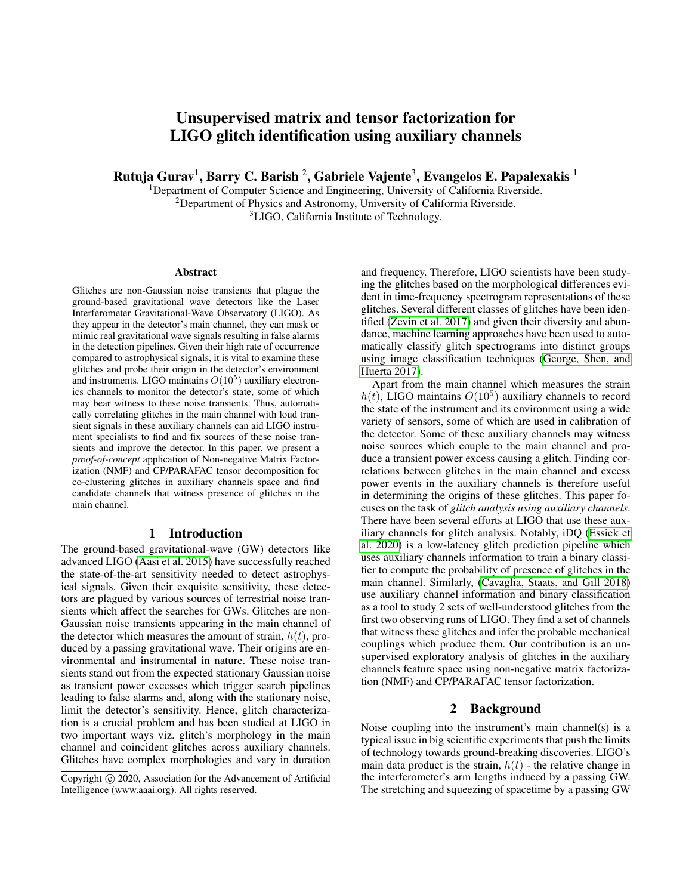# Unsupervised matrix and tensor factorization for LIGO glitch identification using auxiliary channels

Rutuja Gurav $^1$ , Barry C. Barish  $^2$ , Gabriele Vajente $^3$ , Evangelos E. Papalexakis  $^1$ 

<sup>1</sup>Department of Computer Science and Engineering, University of California Riverside. <sup>2</sup>Department of Physics and Astronomy, University of California Riverside. <sup>3</sup>LIGO, California Institute of Technology.

#### Abstract

Glitches are non-Gaussian noise transients that plague the ground-based gravitational wave detectors like the Laser Interferometer Gravitational-Wave Observatory (LIGO). As they appear in the detector's main channel, they can mask or mimic real gravitational wave signals resulting in false alarms in the detection pipelines. Given their high rate of occurrence compared to astrophysical signals, it is vital to examine these glitches and probe their origin in the detector's environment and instruments. LIGO maintains  $O(10^5)$  auxiliary electronics channels to monitor the detector's state, some of which may bear witness to these noise transients. Thus, automatically correlating glitches in the main channel with loud transient signals in these auxiliary channels can aid LIGO instrument specialists to find and fix sources of these noise transients and improve the detector. In this paper, we present a *proof-of-concept* application of Non-negative Matrix Factorization (NMF) and CP/PARAFAC tensor decomposition for co-clustering glitches in auxiliary channels space and find candidate channels that witness presence of glitches in the main channel.

## 1 Introduction

The ground-based gravitational-wave (GW) detectors like advanced LIGO [\(Aasi et al. 2015\)](#page-3-0) have successfully reached the state-of-the-art sensitivity needed to detect astrophysical signals. Given their exquisite sensitivity, these detectors are plagued by various sources of terrestrial noise transients which affect the searches for GWs. Glitches are non-Gaussian noise transients appearing in the main channel of the detector which measures the amount of strain,  $h(t)$ , produced by a passing gravitational wave. Their origins are environmental and instrumental in nature. These noise transients stand out from the expected stationary Gaussian noise as transient power excesses which trigger search pipelines leading to false alarms and, along with the stationary noise, limit the detector's sensitivity. Hence, glitch characterization is a crucial problem and has been studied at LIGO in two important ways viz. glitch's morphology in the main channel and coincident glitches across auxiliary channels. Glitches have complex morphologies and vary in duration

and frequency. Therefore, LIGO scientists have been studying the glitches based on the morphological differences evident in time-frequency spectrogram representations of these glitches. Several different classes of glitches have been identified [\(Zevin et al. 2017\)](#page-3-1) and given their diversity and abundance, machine learning approaches have been used to automatically classify glitch spectrograms into distinct groups using image classification techniques [\(George, Shen, and](#page-3-2) [Huerta 2017\)](#page-3-2).

Apart from the main channel which measures the strain  $h(t)$ , LIGO maintains  $O(10^5)$  auxiliary channels to record the state of the instrument and its environment using a wide variety of sensors, some of which are used in calibration of the detector. Some of these auxiliary channels may witness noise sources which couple to the main channel and produce a transient power excess causing a glitch. Finding correlations between glitches in the main channel and excess power events in the auxiliary channels is therefore useful in determining the origins of these glitches. This paper focuses on the task of *glitch analysis using auxiliary channels*. There have been several efforts at LIGO that use these auxiliary channels for glitch analysis. Notably, iDQ [\(Essick et](#page-3-3) [al. 2020\)](#page-3-3) is a low-latency glitch prediction pipeline which uses auxiliary channels information to train a binary classifier to compute the probability of presence of glitches in the main channel. Similarly, [\(Cavaglia, Staats, and Gill 2018\)](#page-3-4) use auxiliary channel information and binary classification as a tool to study 2 sets of well-understood glitches from the first two observing runs of LIGO. They find a set of channels that witness these glitches and infer the probable mechanical couplings which produce them. Our contribution is an unsupervised exploratory analysis of glitches in the auxiliary channels feature space using non-negative matrix factorization (NMF) and CP/PARAFAC tensor factorization.

# 2 Background

Noise coupling into the instrument's main channel(s) is a typical issue in big scientific experiments that push the limits of technology towards ground-breaking discoveries. LIGO's main data product is the strain,  $h(t)$  - the relative change in the interferometer's arm lengths induced by a passing GW. The stretching and squeezing of spacetime by a passing GW

Copyright (c) 2020, Association for the Advancement of Artificial Intelligence (www.aaai.org). All rights reserved.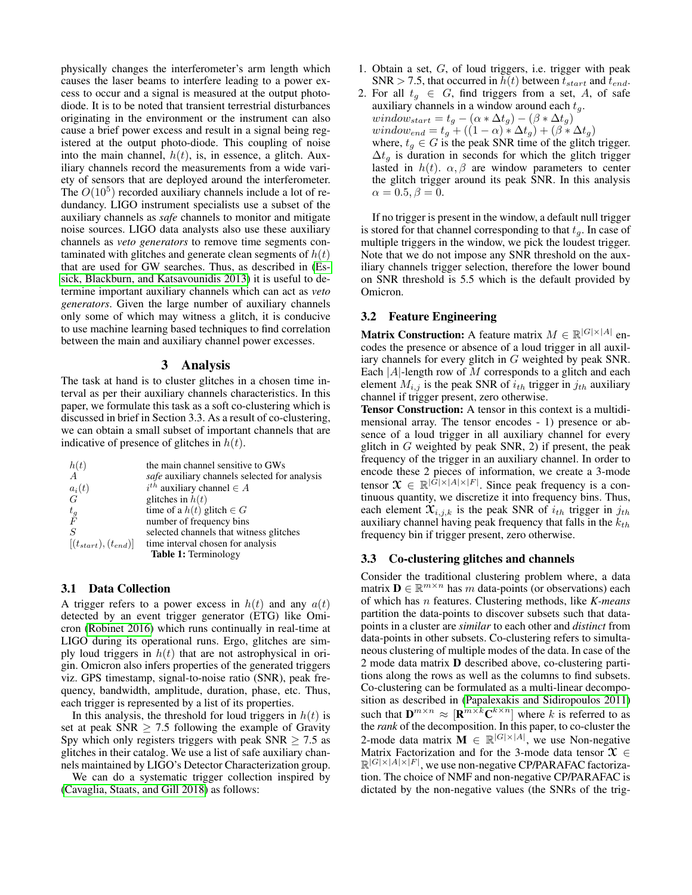physically changes the interferometer's arm length which causes the laser beams to interfere leading to a power excess to occur and a signal is measured at the output photodiode. It is to be noted that transient terrestrial disturbances originating in the environment or the instrument can also cause a brief power excess and result in a signal being registered at the output photo-diode. This coupling of noise into the main channel,  $h(t)$ , is, in essence, a glitch. Auxiliary channels record the measurements from a wide variety of sensors that are deployed around the interferometer. The  $O(10^5)$  recorded auxiliary channels include a lot of redundancy. LIGO instrument specialists use a subset of the auxiliary channels as *safe* channels to monitor and mitigate noise sources. LIGO data analysts also use these auxiliary channels as *veto generators* to remove time segments contaminated with glitches and generate clean segments of  $h(t)$ that are used for GW searches. Thus, as described in [\(Es](#page-3-5)[sick, Blackburn, and Katsavounidis 2013\)](#page-3-5) it is useful to determine important auxiliary channels which can act as *veto generators*. Given the large number of auxiliary channels only some of which may witness a glitch, it is conducive to use machine learning based techniques to find correlation between the main and auxiliary channel power excesses.

## 3 Analysis

The task at hand is to cluster glitches in a chosen time interval as per their auxiliary channels characteristics. In this paper, we formulate this task as a soft co-clustering which is discussed in brief in Section 3.3. As a result of co-clustering, we can obtain a small subset of important channels that are indicative of presence of glitches in  $h(t)$ .

| $h(t)$<br>A                | the main channel sensitive to GWs             |
|----------------------------|-----------------------------------------------|
|                            | safe auxiliary channels selected for analysis |
| $\frac{a_i(t)}{G}$         | $i^{th}$ auxiliary channel $\in$ A            |
|                            | glitches in $h(t)$                            |
| $t_g$ F                    | time of a $h(t)$ glitch $\in G$               |
|                            | number of frequency bins                      |
| $\overline{S}$             | selected channels that witness glitches       |
| $[(t_{start}), (t_{end})]$ | time interval chosen for analysis             |
|                            | Table 1: Terminology                          |

# 3.1 Data Collection

A trigger refers to a power excess in  $h(t)$  and any  $a(t)$ detected by an event trigger generator (ETG) like Omicron [\(Robinet 2016\)](#page-3-6) which runs continually in real-time at LIGO during its operational runs. Ergo, glitches are simply loud triggers in  $h(t)$  that are not astrophysical in origin. Omicron also infers properties of the generated triggers viz. GPS timestamp, signal-to-noise ratio (SNR), peak frequency, bandwidth, amplitude, duration, phase, etc. Thus, each trigger is represented by a list of its properties.

In this analysis, the threshold for loud triggers in  $h(t)$  is set at peak SNR  $\geq$  7.5 following the example of Gravity Spy which only registers triggers with peak  $SNR \ge 7.5$  as glitches in their catalog. We use a list of safe auxiliary channels maintained by LIGO's Detector Characterization group.

We can do a systematic trigger collection inspired by [\(Cavaglia, Staats, and Gill 2018\)](#page-3-4) as follows:

- 1. Obtain a set, G, of loud triggers, i.e. trigger with peak SNR > 7.5, that occurred in  $h(t)$  between  $t_{start}$  and  $t_{end}$ .
- 2. For all  $t_q \in G$ , find triggers from a set, A, of safe auxiliary channels in a window around each  $t<sub>g</sub>$ .  $window_{start} = t_g - (\alpha * \Delta t_g) - (\beta * \Delta t_g)$  $window_{end} = t_g + ((1 - \alpha) * \Delta t_g) + (\beta * \Delta t_g)$ where,  $t_g \in G$  is the peak SNR time of the glitch trigger.  $\Delta t_q$  is duration in seconds for which the glitch trigger lasted in  $h(t)$ .  $\alpha, \beta$  are window parameters to center the glitch trigger around its peak SNR. In this analysis  $\alpha = 0.5, \beta = 0.$

If no trigger is present in the window, a default null trigger is stored for that channel corresponding to that  $t_q$ . In case of multiple triggers in the window, we pick the loudest trigger. Note that we do not impose any SNR threshold on the auxiliary channels trigger selection, therefore the lower bound on SNR threshold is 5.5 which is the default provided by Omicron.

# 3.2 Feature Engineering

**Matrix Construction:** A feature matrix  $M \in \mathbb{R}^{|G| \times |A|}$  encodes the presence or absence of a loud trigger in all auxiliary channels for every glitch in G weighted by peak SNR. Each |A|-length row of M corresponds to a glitch and each element  $M_{i,j}$  is the peak SNR of  $i_{th}$  trigger in  $j_{th}$  auxiliary channel if trigger present, zero otherwise.

Tensor Construction: A tensor in this context is a multidimensional array. The tensor encodes - 1) presence or absence of a loud trigger in all auxiliary channel for every glitch in  $G$  weighted by peak SNR, 2) if present, the peak frequency of the trigger in an auxiliary channel. In order to encode these 2 pieces of information, we create a 3-mode tensor  $\mathcal{X} \in \mathbb{R}^{|\bar{G}| \times |A| \times |F|}$ . Since peak frequency is a continuous quantity, we discretize it into frequency bins. Thus, each element  $\mathfrak{X}_{i,j,k}$  is the peak SNR of  $i_{th}$  trigger in  $j_{th}$ auxiliary channel having peak frequency that falls in the  $k_{th}$ frequency bin if trigger present, zero otherwise.

## 3.3 Co-clustering glitches and channels

Consider the traditional clustering problem where, a data matrix  $\mathbf{D} \in \mathbb{R}^{m \times n}$  has m data-points (or observations) each of which has n features. Clustering methods, like *K-means* partition the data-points to discover subsets such that datapoints in a cluster are *similar* to each other and *distinct* from data-points in other subsets. Co-clustering refers to simultaneous clustering of multiple modes of the data. In case of the 2 mode data matrix D described above, co-clustering partitions along the rows as well as the columns to find subsets. Co-clustering can be formulated as a multi-linear decomposition as described in [\(Papalexakis and Sidiropoulos 2011\)](#page-3-7) such that  $\mathbf{D}^{m \times n} \approx [\mathbf{R}^{m \times k} \mathbf{C}^{k \times n}]$  where k is referred to as the *rank* of the decomposition. In this paper, to co-cluster the 2-mode data matrix  $\mathbf{M} \in \mathbb{R}^{|G| \times |A|}$ , we use Non-negative Matrix Factorization and for the 3-mode data tensor  $\mathcal{X} \in$  $\mathbb{R}^{|G|\times|A|\times|F|}$ , we use non-negative CP/PARAFAC factorization. The choice of NMF and non-negative CP/PARAFAC is dictated by the non-negative values (the SNRs of the trig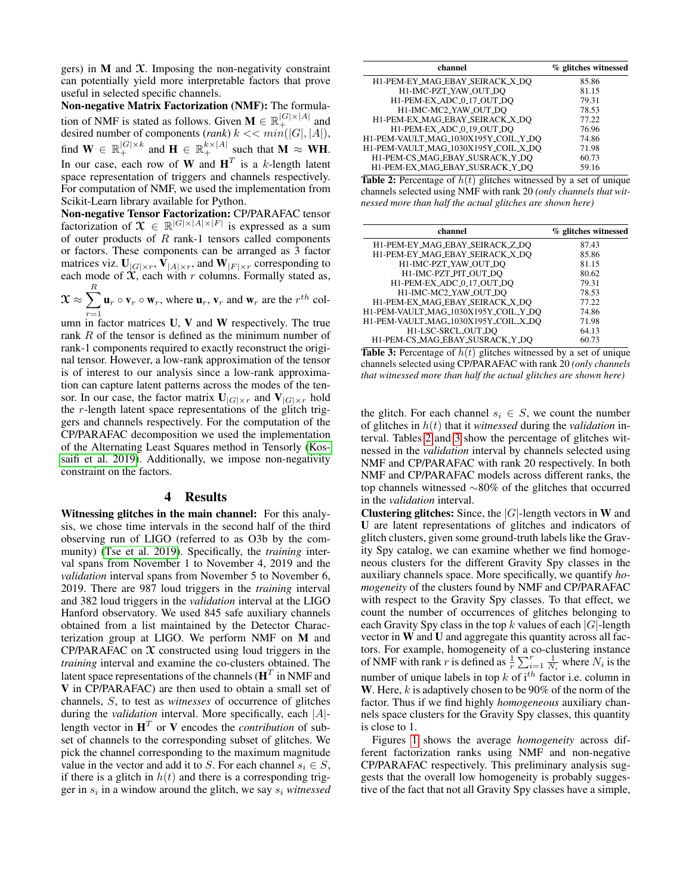gers) in  $M$  and  $X$ . Imposing the non-negativity constraint can potentially yield more interpretable factors that prove useful in selected specific channels.

Non-negative Matrix Factorization (NMF): The formulation of NMF is stated as follows. Given  $\mathbf{M} \in \mathbb{R}_+^{|G| \times |A|}$  and desired number of components (*rank*)  $k \ll \min(|G|, |A|)$ , find  $\mathbf{W} \in \mathbb{R}_{+}^{|G| \times k}$  and  $\mathbf{H} \in \mathbb{R}_{+}^{k \times |A|}$  such that  $\mathbf{M} \approx \mathbf{W} \mathbf{H}$ . In our case, each row of W and  $H<sup>T</sup>$  is a k-length latent space representation of triggers and channels respectively. For computation of NMF, we used the implementation from Scikit-Learn library available for Python.

Non-negative Tensor Factorization: CP/PARAFAC tensor factorization of  $\mathfrak{X} \in \mathbb{R}^{|G| \times |A| \times |F|}$  is expressed as a sum of outer products of  $R$  rank-1 tensors called components or factors. These components can be arranged as 3 factor matrices viz.  $\mathbf{U}_{|G|\times r}$ ,  $\mathbf{V}_{|A|\times r}$ , and  $\mathbf{W}_{|F|\times r}$  corresponding to each mode of  $\mathfrak X$ , each with r columns. Formally stated as,

 $\mathfrak{X}\approx\sum^{R}$  $r=1$  $\mathbf{u}_r \circ \mathbf{v}_r \circ \mathbf{w}_r$ , where  $\mathbf{u}_r$ ,  $\mathbf{v}_r$  and  $\mathbf{w}_r$  are the  $r^{th}$  col-

umn in factor matrices  $U, V$  and  $W$  respectively. The true rank  $R$  of the tensor is defined as the minimum number of rank-1 components required to exactly reconstruct the original tensor. However, a low-rank approximation of the tensor is of interest to our analysis since a low-rank approximation can capture latent patterns across the modes of the tensor. In our case, the factor matrix  $\mathbf{U}_{|G|\times r}$  and  $\mathbf{V}_{|G|\times r}$  hold the r-length latent space representations of the glitch triggers and channels respectively. For the computation of the CP/PARAFAC decomposition we used the implementation of the Alternating Least Squares method in Tensorly [\(Kos](#page-3-8)[saifi et al. 2019\)](#page-3-8). Additionally, we impose non-negativity constraint on the factors.

#### 4 Results

Witnessing glitches in the main channel: For this analysis, we chose time intervals in the second half of the third observing run of LIGO (referred to as O3b by the community) [\(Tse et al. 2019\)](#page-3-9). Specifically, the *training* interval spans from November 1 to November 4, 2019 and the *validation* interval spans from November 5 to November 6, 2019. There are 987 loud triggers in the *training* interval and 382 loud triggers in the *validation* interval at the LIGO Hanford observatory. We used 845 safe auxiliary channels obtained from a list maintained by the Detector Characterization group at LIGO. We perform NMF on M and CP/PARAFAC on  $X$  constructed using loud triggers in the *training* interval and examine the co-clusters obtained. The latent space representations of the channels ( $\mathbf{H}^T$  in NMF and V in CP/PARAFAC) are then used to obtain a small set of channels, S, to test as *witnesses* of occurrence of glitches during the *validation* interval. More specifically, each |A| length vector in  $H<sup>T</sup>$  or V encodes the *contribution* of subset of channels to the corresponding subset of glitches. We pick the channel corresponding to the maximum magnitude value in the vector and add it to S. For each channel  $s_i \in S$ , if there is a glitch in  $h(t)$  and there is a corresponding trigger in  $s_i$  in a window around the glitch, we say  $s_i$  *witnessed* 

<span id="page-2-0"></span>

| channel                              | % glitches witnessed |
|--------------------------------------|----------------------|
| H1-PEM-EY_MAG_EBAY_SEIRACK_X_DO      | 85.86                |
| H1-IMC-PZT_YAW_OUT_DQ                | 81.15                |
| H1-PEM-EX_ADC_0_17_OUT_DQ            | 79.31                |
| H1-IMC-MC2_YAW_OUT_DQ                | 78.53                |
| H1-PEM-EX_MAG_EBAY_SEIRACK_X_DO      | 77.22                |
| H1-PEM-EX_ADC_0_19_OUT_DO            | 76.96                |
| H1-PEM-VAULT_MAG_1030X195Y_COIL_Y_DQ | 74.86                |
| H1-PEM-VAULT_MAG_1030X195Y_COIL_X_DQ | 71.98                |
| H1-PEM-CS_MAG_EBAY_SUSRACK_Y_DQ      | 60.73                |
| H1-PEM-EX_MAG_EBAY_SUSRACK_Y_DO      | 59.16                |

Table 2: Percentage of  $h(t)$  glitches witnessed by a set of unique channels selected using NMF with rank 20 *(only channels that witnessed more than half the actual glitches are shown here)*

<span id="page-2-1"></span>

| channel                              | % glitches witnessed |
|--------------------------------------|----------------------|
| H1-PEM-EY_MAG_EBAY_SEIRACK_Z_DQ      | 87.43                |
| H1-PEM-EY_MAG_EBAY_SEIRACK_X_DO      | 85.86                |
| H1-IMC-PZT <sub>-YAW-OUT-DO</sub>    | 81.15                |
| H1-IMC-PZT_PIT_OUT_DO                | 80.62                |
| H1-PEM-EX_ADC_0_17_OUT_DO            | 79.31                |
| H1-IMC-MC2_YAW_OUT_DO                | 78.53                |
| H1-PEM-EX_MAG_EBAY_SEIRACK_X_DO      | 77.22                |
| H1-PEM-VAULT_MAG_1030X195Y_COIL_Y_DQ | 74.86                |
| H1-PEM-VAULT_MAG_1030X195Y_COIL_X_DQ | 71.98                |
| H1-LSC-SRCL_OUT_DQ                   | 64.13                |
| H1-PEM-CS_MAG_EBAY_SUSRACK_Y_DO      | 60.73                |

**Table 3:** Percentage of  $h(t)$  glitches witnessed by a set of unique channels selected using CP/PARAFAC with rank 20 *(only channels that witnessed more than half the actual glitches are shown here)*

the glitch. For each channel  $s_i \in S$ , we count the number of glitches in h(t) that it *witnessed* during the *validation* interval. Tables [2](#page-2-0) and [3](#page-2-1) show the percentage of glitches witnessed in the *validation* interval by channels selected using NMF and CP/PARAFAC with rank 20 respectively. In both NMF and CP/PARAFAC models across different ranks, the top channels witnessed ∼80% of the glitches that occurred in the *validation* interval.

**Clustering glitches:** Since, the  $|G|$ -length vectors in W and U are latent representations of glitches and indicators of glitch clusters, given some ground-truth labels like the Gravity Spy catalog, we can examine whether we find homogeneous clusters for the different Gravity Spy classes in the auxiliary channels space. More specifically, we quantify *homogeneity* of the clusters found by NMF and CP/PARAFAC with respect to the Gravity Spy classes. To that effect, we count the number of occurrences of glitches belonging to each Gravity Spy class in the top k values of each  $|G|$ -length vector in W and U and aggregate this quantity across all factors. For example, homogeneity of a co-clustering instance of NMF with rank r is defined as  $\frac{1}{r} \sum_{i=1}^{r} \frac{1}{N_i}$  where  $N_i$  is the number of unique labels in top  $k$  of  $i<sup>th</sup>$  factor i.e. column in W. Here,  $k$  is adaptively chosen to be 90% of the norm of the factor. Thus if we find highly *homogeneous* auxiliary channels space clusters for the Gravity Spy classes, this quantity is close to 1.

Figures [1](#page-3-10) shows the average *homogeneity* across different factorization ranks using NMF and non-negative CP/PARAFAC respectively. This preliminary analysis suggests that the overall low homogeneity is probably suggestive of the fact that not all Gravity Spy classes have a simple,